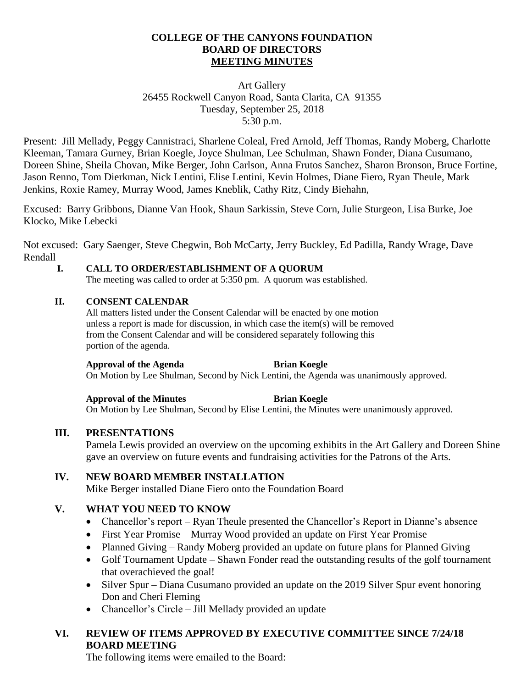# **COLLEGE OF THE CANYONS FOUNDATION BOARD OF DIRECTORS MEETING MINUTES**

# Art Gallery 26455 Rockwell Canyon Road, Santa Clarita, CA 91355 Tuesday, September 25, 2018 5:30 p.m.

Present: Jill Mellady, Peggy Cannistraci, Sharlene Coleal, Fred Arnold, Jeff Thomas, Randy Moberg, Charlotte Kleeman, Tamara Gurney, Brian Koegle, Joyce Shulman, Lee Schulman, Shawn Fonder, Diana Cusumano, Doreen Shine, Sheila Chovan, Mike Berger, John Carlson, Anna Frutos Sanchez, Sharon Bronson, Bruce Fortine, Jason Renno, Tom Dierkman, Nick Lentini, Elise Lentini, Kevin Holmes, Diane Fiero, Ryan Theule, Mark Jenkins, Roxie Ramey, Murray Wood, James Kneblik, Cathy Ritz, Cindy Biehahn,

Excused: Barry Gribbons, Dianne Van Hook, Shaun Sarkissin, Steve Corn, Julie Sturgeon, Lisa Burke, Joe Klocko, Mike Lebecki

Not excused: Gary Saenger, Steve Chegwin, Bob McCarty, Jerry Buckley, Ed Padilla, Randy Wrage, Dave Rendall

# **I. CALL TO ORDER/ESTABLISHMENT OF A QUORUM**

The meeting was called to order at 5:350 pm. A quorum was established.

# **II. CONSENT CALENDAR**

All matters listed under the Consent Calendar will be enacted by one motion unless a report is made for discussion, in which case the item(s) will be removed from the Consent Calendar and will be considered separately following this portion of the agenda.

### **Approval of the Agenda Brian Koegle**

On Motion by Lee Shulman, Second by Nick Lentini, the Agenda was unanimously approved.

**Approval of the Minutes Brian Koegle** On Motion by Lee Shulman, Second by Elise Lentini, the Minutes were unanimously approved.

### **III. PRESENTATIONS**

Pamela Lewis provided an overview on the upcoming exhibits in the Art Gallery and Doreen Shine gave an overview on future events and fundraising activities for the Patrons of the Arts.

# **IV. NEW BOARD MEMBER INSTALLATION**

Mike Berger installed Diane Fiero onto the Foundation Board

# **V. WHAT YOU NEED TO KNOW**

- Chancellor's report Ryan Theule presented the Chancellor's Report in Dianne's absence
- First Year Promise Murray Wood provided an update on First Year Promise
- Planned Giving Randy Moberg provided an update on future plans for Planned Giving
- Golf Tournament Update Shawn Fonder read the outstanding results of the golf tournament that overachieved the goal!
- Silver Spur Diana Cusumano provided an update on the 2019 Silver Spur event honoring Don and Cheri Fleming
- Chancellor's Circle Jill Mellady provided an update

# **VI. REVIEW OF ITEMS APPROVED BY EXECUTIVE COMMITTEE SINCE 7/24/18 BOARD MEETING**

The following items were emailed to the Board: